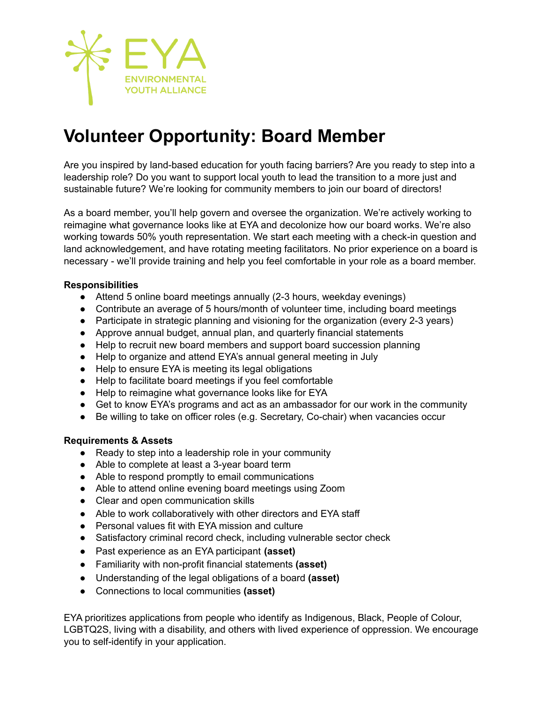

# **Volunteer Opportunity: Board Member**

Are you inspired by land-based education for youth facing barriers? Are you ready to step into a leadership role? Do you want to support local youth to lead the transition to a more just and sustainable future? We're looking for community members to join our board of directors!

As a board member, you'll help govern and oversee the organization. We're actively working to reimagine what governance looks like at EYA and decolonize how our board works. We're also working towards 50% youth representation. We start each meeting with a check-in question and land acknowledgement, and have rotating meeting facilitators. No prior experience on a board is necessary - we'll provide training and help you feel comfortable in your role as a board member.

### **Responsibilities**

- Attend 5 online board meetings annually (2-3 hours, weekday evenings)
- Contribute an average of 5 hours/month of volunteer time, including board meetings
- Participate in strategic planning and visioning for the organization (every 2-3 years)
- Approve annual budget, annual plan, and quarterly financial statements
- Help to recruit new board members and support board succession planning
- Help to organize and attend EYA's annual general meeting in July
- Help to ensure EYA is meeting its legal obligations
- Help to facilitate board meetings if you feel comfortable
- Help to reimagine what governance looks like for EYA
- Get to know EYA's programs and act as an ambassador for our work in the community
- Be willing to take on officer roles (e.g. Secretary, Co-chair) when vacancies occur

#### **Requirements & Assets**

- Ready to step into a leadership role in your community
- Able to complete at least a 3-year board term
- Able to respond promptly to email communications
- Able to attend online evening board meetings using Zoom
- Clear and open communication skills
- Able to work collaboratively with other directors and EYA staff
- Personal values fit with EYA mission and culture
- Satisfactory criminal record check, including vulnerable sector check
- Past experience as an EYA participant **(asset)**
- Familiarity with non-profit financial statements **(asset)**
- Understanding of the legal obligations of a board **(asset)**
- Connections to local communities **(asset)**

EYA prioritizes applications from people who identify as Indigenous, Black, People of Colour, LGBTQ2S, living with a disability, and others with lived experience of oppression. We encourage you to self-identify in your application.